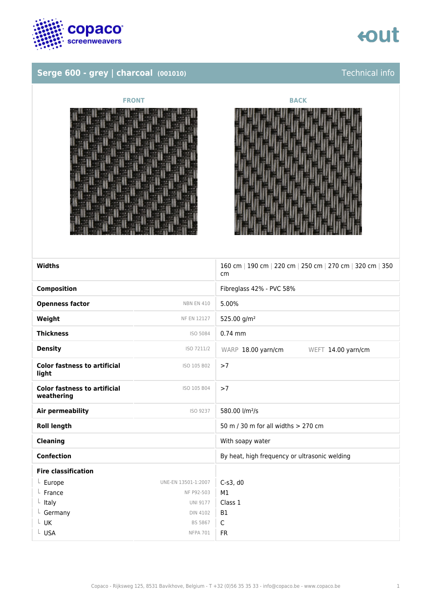

### **Serge 600 - grey | charcoal (001010)** Technical info

## tout





| <b>Widths</b>                                     |                     | 160 cm   190 cm   220 cm   250 cm   270 cm   320 cm   350<br>cm |
|---------------------------------------------------|---------------------|-----------------------------------------------------------------|
| <b>Composition</b>                                |                     | Fibreglass 42% - PVC 58%                                        |
| <b>Openness factor</b>                            | <b>NBN EN 410</b>   | 5.00%                                                           |
| Weight                                            | NF EN 12127         | 525.00 g/m <sup>2</sup>                                         |
| <b>Thickness</b>                                  | ISO 5084            | $0.74$ mm                                                       |
| <b>Density</b>                                    | ISO 7211/2          | WARP 18.00 yarn/cm<br>WEFT 14.00 yarn/cm                        |
| <b>Color fastness to artificial</b><br>light      | ISO 105 B02         | >7                                                              |
| <b>Color fastness to artificial</b><br>weathering | ISO 105 B04         | >7                                                              |
| Air permeability                                  | ISO 9237            | 580.00 l/m <sup>2</sup> /s                                      |
| <b>Roll length</b>                                |                     | 50 m / 30 m for all widths > 270 cm                             |
| <b>Cleaning</b>                                   |                     | With soapy water                                                |
| <b>Confection</b>                                 |                     | By heat, high frequency or ultrasonic welding                   |
| <b>Fire classification</b>                        |                     |                                                                 |
| $L$ Europe                                        | UNE-EN 13501-1:2007 | $C-S3, d0$                                                      |
| France                                            | NF P92-503          | M1                                                              |
| $L$ Italy                                         | <b>UNI 9177</b>     | Class 1                                                         |
| $L$ Germany                                       | <b>DIN 4102</b>     | <b>B1</b>                                                       |
| $L$ UK                                            | <b>BS 5867</b>      | $\mathsf{C}$                                                    |
| L USA                                             | <b>NFPA 701</b>     | <b>FR</b>                                                       |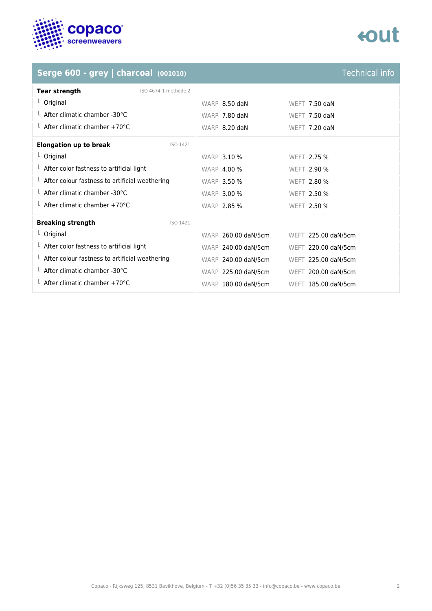

### Serge 600 - grey | charcoal (001010)<br>
Technical info

| Tear strength                                          | ISO 4674-1 methode 2 |                     |                     |  |
|--------------------------------------------------------|----------------------|---------------------|---------------------|--|
| $L$ Original                                           |                      | WARP 8.50 daN       | WEFT $7.50$ daN     |  |
| L After climatic chamber -30°C                         |                      | WARP 7.80 daN       | WEFT $7.50$ daN     |  |
| $\perp$ After climatic chamber +70°C                   |                      | WARP 8.20 daN       | WEFT 7.20 daN       |  |
| <b>Elongation up to break</b>                          | ISO 1421             |                     |                     |  |
| $L$ Original                                           |                      | <b>WARP 3.10 %</b>  | WEFT 2.75 %         |  |
| $L$ After color fastness to artificial light           |                      | <b>WARP 4.00 %</b>  | <b>WEFT 2.90 %</b>  |  |
| $\perp$ After colour fastness to artificial weathering |                      | WARP 3.50 %         | <b>WEFT 2.80 %</b>  |  |
| L After climatic chamber -30°C                         |                      | <b>WARP 3.00 %</b>  | WEFT 2.50 %         |  |
| $\perp$ After climatic chamber +70°C                   |                      | <b>WARP 2.85 %</b>  | <b>WEFT 2.50 %</b>  |  |
| <b>Breaking strength</b>                               | ISO 1421             |                     |                     |  |
| $L$ Original                                           |                      | WARP 260.00 daN/5cm | WEFT 225.00 daN/5cm |  |
| $L$ After color fastness to artificial light           |                      | WARP 240.00 daN/5cm | WEFT 220.00 daN/5cm |  |
| $\perp$ After colour fastness to artificial weathering |                      | WARP 240.00 daN/5cm | WEFT 225.00 daN/5cm |  |
| L After climatic chamber -30°C                         |                      | WARP 225.00 daN/5cm | WEFT 200.00 daN/5cm |  |
| $\perp$ After climatic chamber +70°C                   |                      | WARP 180.00 daN/5cm | WEFT 185.00 daN/5cm |  |
|                                                        |                      |                     |                     |  |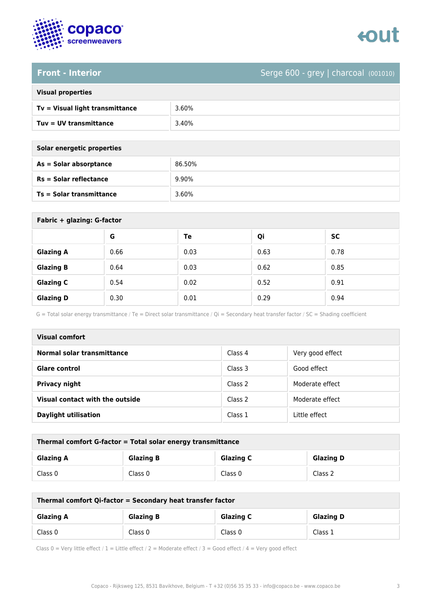

### **Front - Interior** Serge 600 - grey | charcoal (001010)

|  | <b>Visual properties</b> |
|--|--------------------------|
|  |                          |

| Tv = Visual light transmittance | 3.60% |
|---------------------------------|-------|
| $Tuv = UV$ transmittance        | 3.40% |

**As = Solar absorptance** 86.50%

**Rs = Solar reflectance** 9.90%

| Solar energetic properties |  |
|----------------------------|--|
| As = Solar absorptance     |  |
| $Rs = Solar$ reflectance   |  |
|                            |  |

**Ts = Solar transmittance** 3.60%

| Fabric + glazing: G-factor |      |      |      |           |  |
|----------------------------|------|------|------|-----------|--|
|                            | G    | Te   | Qi   | <b>SC</b> |  |
| <b>Glazing A</b>           | 0.66 | 0.03 | 0.63 | 0.78      |  |
| <b>Glazing B</b>           | 0.64 | 0.03 | 0.62 | 0.85      |  |
| <b>Glazing C</b>           | 0.54 | 0.02 | 0.52 | 0.91      |  |
| <b>Glazing D</b>           | 0.30 | 0.01 | 0.29 | 0.94      |  |

G = Total solar energy transmittance / Te = Direct solar transmittance / Qi = Secondary heat transfer factor / SC = Shading coefficient

| <b>Visual comfort</b>           |         |                  |  |
|---------------------------------|---------|------------------|--|
| Normal solar transmittance      | Class 4 | Very good effect |  |
| Glare control                   | Class 3 | Good effect      |  |
| <b>Privacy night</b>            | Class 2 | Moderate effect  |  |
| Visual contact with the outside | Class 2 | Moderate effect  |  |
| <b>Daylight utilisation</b>     | Class 1 | Little effect    |  |

| Thermal comfort G-factor = Total solar energy transmittance |                  |                  |                  |  |
|-------------------------------------------------------------|------------------|------------------|------------------|--|
| <b>Glazing A</b>                                            | <b>Glazing B</b> | <b>Glazing C</b> | <b>Glazing D</b> |  |
| Class 0                                                     | Class 0          | Class 0          | Class 2          |  |

| Thermal comfort Qi-factor = Secondary heat transfer factor |                  |                  |                  |  |
|------------------------------------------------------------|------------------|------------------|------------------|--|
| <b>Glazing A</b>                                           | <b>Glazing B</b> | <b>Glazing C</b> | <b>Glazing D</b> |  |
| Class 0                                                    | Class 0          | Class 0          | Class 1          |  |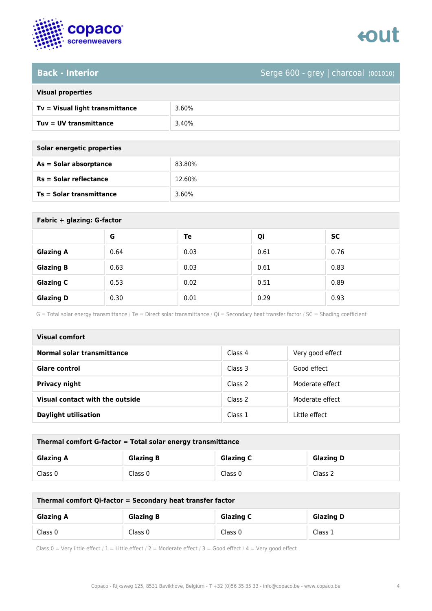

# enut

### **Back - Interior** Serge 600 - grey | charcoal (001010)

| Tv = Visual light transmittance | 3.60% |
|---------------------------------|-------|
| $Tuv = UV$ transmittance        | 3.40% |

**As = Solar absorptance** 83.80%

**Rs = Solar reflectance** 12.60%

| Solar energetic properties |  |
|----------------------------|--|
| As = Solar absorptance     |  |
| $Rs = Solar$ reflectance   |  |
|                            |  |

**Ts = Solar transmittance** 3.60%

| Fabric + glazing: G-factor |      |      |      |      |
|----------------------------|------|------|------|------|
|                            | G    | Te   | Qi   | SC   |
| <b>Glazing A</b>           | 0.64 | 0.03 | 0.61 | 0.76 |
| <b>Glazing B</b>           | 0.63 | 0.03 | 0.61 | 0.83 |
| <b>Glazing C</b>           | 0.53 | 0.02 | 0.51 | 0.89 |
| <b>Glazing D</b>           | 0.30 | 0.01 | 0.29 | 0.93 |

G = Total solar energy transmittance / Te = Direct solar transmittance / Qi = Secondary heat transfer factor / SC = Shading coefficient

| <b>Visual comfort</b>           |         |                  |
|---------------------------------|---------|------------------|
| Normal solar transmittance      | Class 4 | Very good effect |
| <b>Glare control</b>            | Class 3 | Good effect      |
| <b>Privacy night</b>            | Class 2 | Moderate effect  |
| Visual contact with the outside | Class 2 | Moderate effect  |
| <b>Daylight utilisation</b>     | Class 1 | Little effect    |

| Thermal comfort G-factor = Total solar energy transmittance |                  |                  |                  |
|-------------------------------------------------------------|------------------|------------------|------------------|
| <b>Glazing A</b>                                            | <b>Glazing B</b> | <b>Glazing C</b> | <b>Glazing D</b> |
| Class 0                                                     | Class 0          | Class 0          | Class 2          |

| Thermal comfort Qi-factor = Secondary heat transfer factor |                  |                  |                  |
|------------------------------------------------------------|------------------|------------------|------------------|
| <b>Glazing A</b>                                           | <b>Glazing B</b> | <b>Glazing C</b> | <b>Glazing D</b> |
| Class 0                                                    | Class 0          | Class 0          | Class 1          |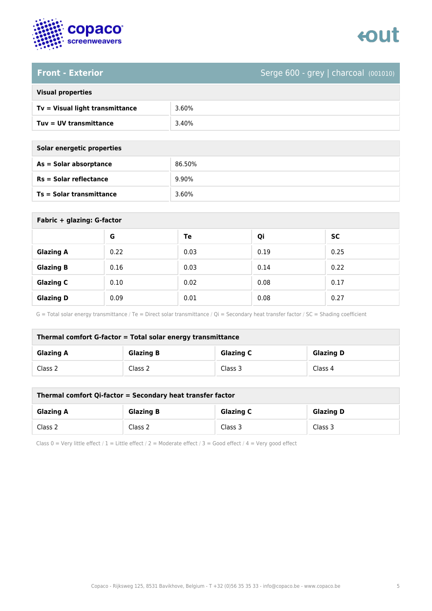

### **Front - Exterior** Serge 600 - grey | charcoal (001010)

| <b>Visual properties</b> |
|--------------------------|
|                          |

| Tv = Visual light transmittance | 3.60% |
|---------------------------------|-------|
| Tuv = UV transmittance          | 3.40% |

**As = Solar absorptance** 86.50%

**Rs = Solar reflectance** 9.90%

| Solar energetic properties |  |
|----------------------------|--|
| As = Solar absorptance     |  |
| $Rs = Solar$ reflectance   |  |
|                            |  |

**Ts = Solar transmittance** 3.60%

| Fabric + glazing: G-factor |      |      |      |      |
|----------------------------|------|------|------|------|
|                            | G    | Te   | Qi   | SC   |
| <b>Glazing A</b>           | 0.22 | 0.03 | 0.19 | 0.25 |
| <b>Glazing B</b>           | 0.16 | 0.03 | 0.14 | 0.22 |
| <b>Glazing C</b>           | 0.10 | 0.02 | 0.08 | 0.17 |
| <b>Glazing D</b>           | 0.09 | 0.01 | 0.08 | 0.27 |

G = Total solar energy transmittance / Te = Direct solar transmittance / Qi = Secondary heat transfer factor / SC = Shading coefficient

| Thermal comfort G-factor = Total solar energy transmittance |                  |                  |                  |
|-------------------------------------------------------------|------------------|------------------|------------------|
| <b>Glazing A</b>                                            | <b>Glazing B</b> | <b>Glazing C</b> | <b>Glazing D</b> |
| Class 2                                                     | Class 2          | Class 3          | Class 4          |

| Thermal comfort Qi-factor = Secondary heat transfer factor |                  |                  |                  |
|------------------------------------------------------------|------------------|------------------|------------------|
| <b>Glazing A</b>                                           | <b>Glazing B</b> | <b>Glazing C</b> | <b>Glazing D</b> |
| Class 2                                                    | Class 2          | Class 3          | Class 3          |